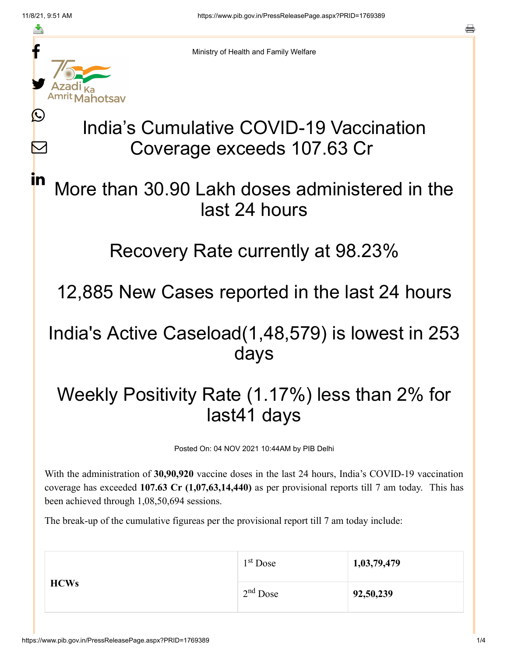≛

Ŀ

 $\bm{\nabla}$ 

in



Ministry of Health and Family Welfare

# India's Cumulative COVID-19 Vaccination Coverage exceeds 107.63 Cr

## More than 30.90 Lakh doses administered in the last 24 hours

#### Recovery Rate currently at 98.23%

12,885 New Cases reported in the last 24 hours

#### India's Active Caseload(1,48,579) is lowest in 253 days

## Weekly Positivity Rate (1.17%) less than 2% for last41 days

Posted On: 04 NOV 2021 10:44AM by PIB Delhi

With the administration of **30,90,920** vaccine doses in the last 24 hours, India's COVID-19 vaccination coverage has exceeded **107.63 Cr (1,07,63,14,440)** as per provisional reports till 7 am today. This has been achieved through 1,08,50,694 sessions.

The break-up of the cumulative figureas per the provisional report till 7 am today include:

| <b>HCWs</b> | $1st$ Dose | 1,03,79,479 |
|-------------|------------|-------------|
|             | $2nd$ Dose | 92,50,239   |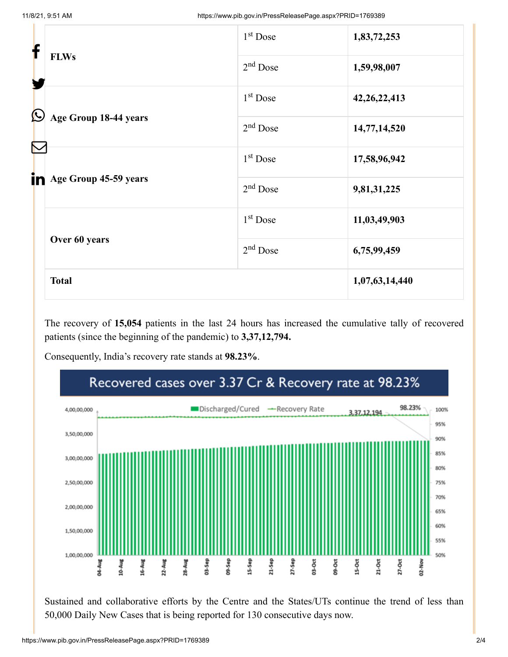| f                     |                                 | 1 <sup>st</sup> Dose | 1,83,72,253     |
|-----------------------|---------------------------------|----------------------|-----------------|
|                       | <b>FLWs</b>                     | $2nd$ Dose           | 1,59,98,007     |
| $\bigcirc$            |                                 | $1st$ Dose           | 42, 26, 22, 413 |
| Age Group 18-44 years |                                 | $2nd$ Dose           | 14,77,14,520    |
| $\color{red}\nabla$   |                                 | $1st$ Dose           | 17,58,96,942    |
|                       | <b>in</b> Age Group 45-59 years | $2nd$ Dose           | 9,81,31,225     |
|                       |                                 | $1st$ Dose           | 11,03,49,903    |
|                       | Over 60 years                   | $2nd$ Dose           | 6,75,99,459     |
|                       | <b>Total</b>                    |                      | 1,07,63,14,440  |

The recovery of **15,054** patients in the last 24 hours has increased the cumulative tally of recovered patients (since the beginning of the pandemic) to **3,37,12,794.**

Consequently, India's recovery rate stands at **98.23%**.



Sustained and collaborative efforts by the Centre and the States/UTs continue the trend of less than 50,000 Daily New Cases that is being reported for 130 consecutive days now.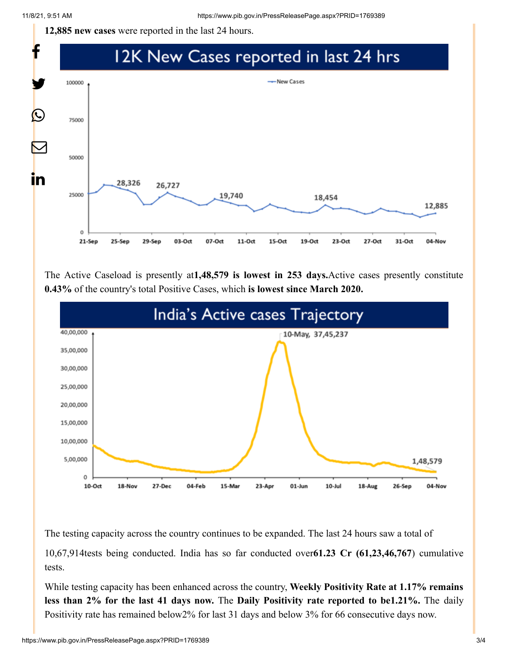**12,885 new cases** were reported in the last 24 hours.



The Active Caseload is presently at**1,48,579 is lowest in 253 days.**Active cases presently constitute **0.43%** of the country's total Positive Cases, which **is lowest since March 2020.**



The testing capacity across the country continues to be expanded. The last 24 hours saw a total of

10,67,914tests being conducted. India has so far conducted over**61.23 Cr (61,23,46,767**) cumulative tests.

While testing capacity has been enhanced across the country, **Weekly Positivity Rate at 1.17% remains less than 2% for the last 41 days now.** The **Daily Positivity rate reported to be1.21%.** The daily Positivity rate has remained below2% for last 31 days and below 3% for 66 consecutive days now.